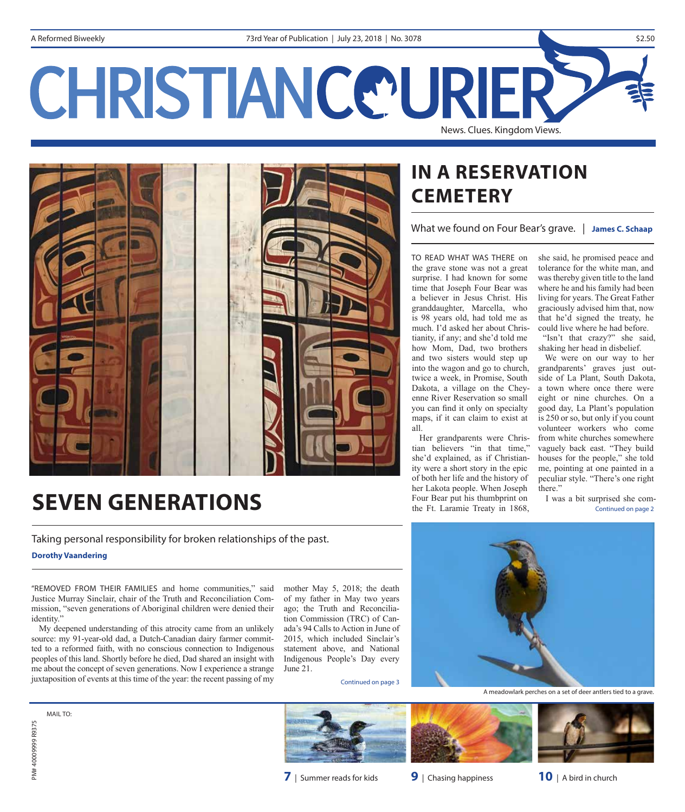# CHRISTIANCE URIER News. Clues. Kingdom Views.



# **IN A RESERVATION CEMETERY**

What we found on Four Bear's grave. | **James C. Schaap**

TO READ WHAT WAS THERE on the grave stone was not a great surprise. I had known for some time that Joseph Four Bear was a believer in Jesus Christ. His granddaughter, Marcella, who is 98 years old, had told me as much. I'd asked her about Christianity, if any; and she'd told me how Mom, Dad, two brothers and two sisters would step up into the wagon and go to church, twice a week, in Promise, South Dakota, a village on the Cheyenne River Reservation so small you can fnd it only on specialty maps, if it can claim to exist at all.

Her grandparents were Christian believers "in that time," she'd explained, as if Christianity were a short story in the epic of both her life and the history of her Lakota people. When Joseph Four Bear put his thumbprint on the Ft. Laramie Treaty in 1868,

she said, he promised peace and tolerance for the white man, and was thereby given title to the land where he and his family had been living for years. The Great Father graciously advised him that, now that he'd signed the treaty, he could live where he had before. "Isn't that crazy?" she said,

shaking her head in disbelief. We were on our way to her grandparents' graves just outside of La Plant, South Dakota, a town where once there were eight or nine churches. On a good day, La Plant's population is 250 or so, but only if you count volunteer workers who come from white churches somewhere vaguely back east. "They build houses for the people," she told me, pointing at one painted in a peculiar style. "There's one right there."

I was a bit surprised she com-Continued on page 2

# **SEVEN GENERATIONS**

Taking personal responsibility for broken relationships of the past.

**Dorothy Vaandering**

"REMOVED FROM THEIR FAMILIES and home communities," said Justice Murray Sinclair, chair of the Truth and Reconciliation Commission, "seven generations of Aboriginal children were denied their identity."

My deepened understanding of this atrocity came from an unlikely source: my 91-year-old dad, a Dutch-Canadian dairy farmer committed to a reformed faith, with no conscious connection to Indigenous peoples of this land. Shortly before he died, Dad shared an insight with me about the concept of seven generations. Now I experience a strange juxtaposition of events at this time of the year: the recent passing of my

mother May 5, 2018; the death of my father in May two years ago; the Truth and Reconciliation Commission (TRC) of Canada's 94 Calls to Action in June of 2015, which included Sinclair's statement above, and National Indigenous People's Day every June 21.

Continued on page 3



A meadowlark perches on a set of deer antlers tied to a grave.

MAIL TO<sup>.</sup>

PM# 40009999 R9375

PM#40009999 R9375



**7** | Summer reads for kids **9** | Chasing happiness **10** | A bird in church